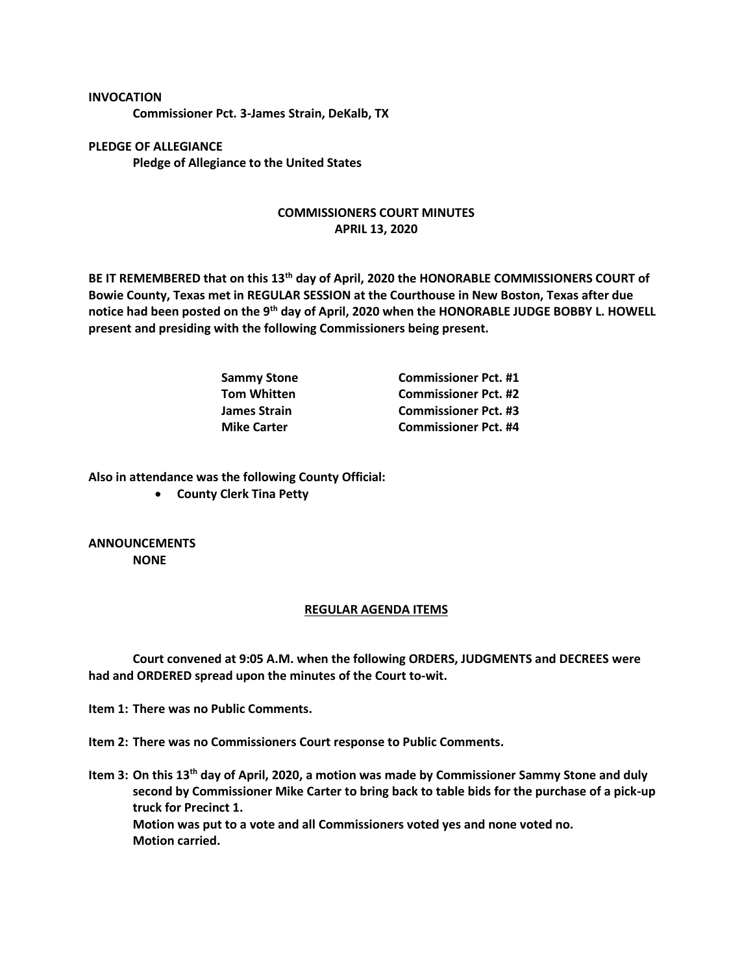**Commissioner Pct. 3-James Strain, DeKalb, TX**

**PLEDGE OF ALLEGIANCE Pledge of Allegiance to the United States**

## **COMMISSIONERS COURT MINUTES APRIL 13, 2020**

**BE IT REMEMBERED that on this 13th day of April, 2020 the HONORABLE COMMISSIONERS COURT of Bowie County, Texas met in REGULAR SESSION at the Courthouse in New Boston, Texas after due notice had been posted on the 9th day of April, 2020 when the HONORABLE JUDGE BOBBY L. HOWELL present and presiding with the following Commissioners being present.**

| <b>Sammy Stone</b> | <b>Commissioner Pct. #1</b> |
|--------------------|-----------------------------|
| Tom Whitten        | <b>Commissioner Pct. #2</b> |
| James Strain       | <b>Commissioner Pct. #3</b> |
| <b>Mike Carter</b> | <b>Commissioner Pct. #4</b> |

**Also in attendance was the following County Official:**

• **County Clerk Tina Petty**

**ANNOUNCEMENTS NONE**

**INVOCATION**

## **REGULAR AGENDA ITEMS**

**Court convened at 9:05 A.M. when the following ORDERS, JUDGMENTS and DECREES were had and ORDERED spread upon the minutes of the Court to-wit.**

**Item 1: There was no Public Comments.**

**Item 2: There was no Commissioners Court response to Public Comments.**

**Item 3: On this 13th day of April, 2020, a motion was made by Commissioner Sammy Stone and duly second by Commissioner Mike Carter to bring back to table bids for the purchase of a pick-up truck for Precinct 1. Motion was put to a vote and all Commissioners voted yes and none voted no. Motion carried.**